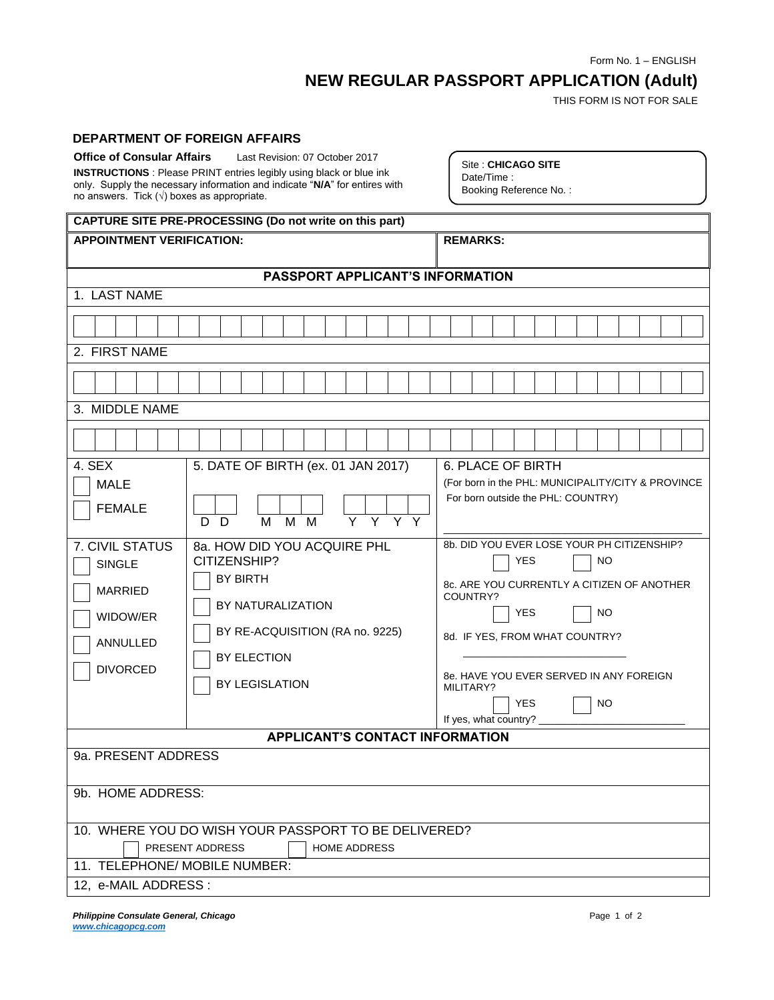Form No. 1 – ENGLISH

## **NEW REGULAR PASSPORT APPLICATION (Adult)**

THIS FORM IS NOT FOR SALE

## **DEPARTMENT OF FOREIGN AFFAIRS**

| <b>Office of Consular Affairs</b><br>no answers. Tick $(\sqrt{})$ boxes as appropriate.                                                        | Last Revision: 07 October 2017<br><b>INSTRUCTIONS</b> : Please PRINT entries legibly using black or blue ink<br>only. Supply the necessary information and indicate "N/A" for entires with                                | Site: CHICAGO SITE<br>Date/Time:<br>Booking Reference No.:                                                                                                                                                                                                                         |
|------------------------------------------------------------------------------------------------------------------------------------------------|---------------------------------------------------------------------------------------------------------------------------------------------------------------------------------------------------------------------------|------------------------------------------------------------------------------------------------------------------------------------------------------------------------------------------------------------------------------------------------------------------------------------|
|                                                                                                                                                | CAPTURE SITE PRE-PROCESSING (Do not write on this part)                                                                                                                                                                   |                                                                                                                                                                                                                                                                                    |
| <b>APPOINTMENT VERIFICATION:</b>                                                                                                               |                                                                                                                                                                                                                           | <b>REMARKS:</b>                                                                                                                                                                                                                                                                    |
|                                                                                                                                                | PASSPORT APPLICANT'S INFORMATION                                                                                                                                                                                          |                                                                                                                                                                                                                                                                                    |
| 1. LAST NAME                                                                                                                                   |                                                                                                                                                                                                                           |                                                                                                                                                                                                                                                                                    |
|                                                                                                                                                |                                                                                                                                                                                                                           |                                                                                                                                                                                                                                                                                    |
| 2. FIRST NAME                                                                                                                                  |                                                                                                                                                                                                                           |                                                                                                                                                                                                                                                                                    |
|                                                                                                                                                |                                                                                                                                                                                                                           |                                                                                                                                                                                                                                                                                    |
| 3. MIDDLE NAME                                                                                                                                 |                                                                                                                                                                                                                           |                                                                                                                                                                                                                                                                                    |
|                                                                                                                                                |                                                                                                                                                                                                                           |                                                                                                                                                                                                                                                                                    |
| 4. SEX<br><b>MALE</b><br><b>FEMALE</b><br>7. CIVIL STATUS<br><b>SINGLE</b><br><b>MARRIED</b><br>WIDOW/ER<br><b>ANNULLED</b><br><b>DIVORCED</b> | 5. DATE OF BIRTH (ex. 01 JAN 2017)<br>Y Y Y Y<br>M<br>M<br>- D<br>M<br>D.<br>8a. HOW DID YOU ACQUIRE PHL<br>CITIZENSHIP?<br><b>BY BIRTH</b><br>BY NATURALIZATION<br>BY RE-ACQUISITION (RA no. 9225)<br><b>BY ELECTION</b> | 6. PLACE OF BIRTH<br>(For born in the PHL: MUNICIPALITY/CITY & PROVINCE<br>For born outside the PHL: COUNTRY)<br>8b. DID YOU EVER LOSE YOUR PH CITIZENSHIP?<br>NO<br>YES<br>8c. ARE YOU CURRENTLY A CITIZEN OF ANOTHER<br>COUNTRY?<br>YES<br>NO.<br>8d. IF YES, FROM WHAT COUNTRY? |
|                                                                                                                                                | BY LEGISLATION                                                                                                                                                                                                            | 8e. HAVE YOU EVER SERVED IN ANY FOREIGN<br>MILITARY?<br><b>YES</b><br>NO.<br>If yes, what country? ______                                                                                                                                                                          |
|                                                                                                                                                | <b>APPLICANT'S CONTACT INFORMATION</b>                                                                                                                                                                                    |                                                                                                                                                                                                                                                                                    |
| 9a. PRESENT ADDRESS<br>9b. HOME ADDRESS:                                                                                                       |                                                                                                                                                                                                                           |                                                                                                                                                                                                                                                                                    |
|                                                                                                                                                | 10. WHERE YOU DO WISH YOUR PASSPORT TO BE DELIVERED?                                                                                                                                                                      |                                                                                                                                                                                                                                                                                    |
| 11. TELEPHONE/ MOBILE NUMBER:                                                                                                                  | PRESENT ADDRESS<br><b>HOME ADDRESS</b>                                                                                                                                                                                    |                                                                                                                                                                                                                                                                                    |
| 12, e-MAIL ADDRESS :                                                                                                                           |                                                                                                                                                                                                                           |                                                                                                                                                                                                                                                                                    |
|                                                                                                                                                |                                                                                                                                                                                                                           |                                                                                                                                                                                                                                                                                    |